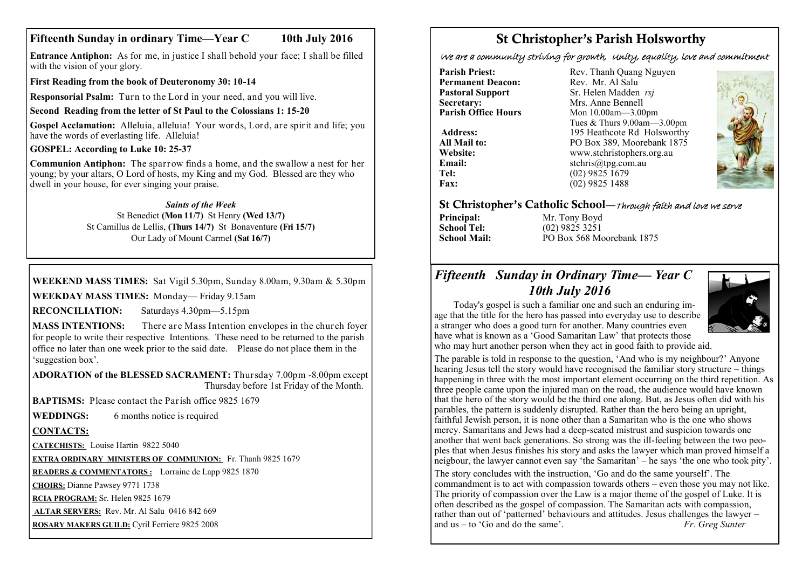## **Fifteenth Sunday in ordinary Time—Year C 10th July 2016**

**Entrance Antiphon:** As for me, in justice I shall behold your face; I shall be filled with the vision of your glory.

**First Reading from the book of Deuteronomy 30: 10-14** 

**Responsorial Psalm:** Turn to the Lord in your need, and you will live.

#### **Second Reading from the letter of St Paul to the Colossians 1: 15-20**

**Gospel Acclamation:** Alleluia, alleluia! Your words, Lord, are spirit and life; you have the words of everlasting life. Alleluia!

#### **GOSPEL: According to Luke 10: 25-37**

**Communion Antiphon:** The sparrow finds a home, and the swallow a nest for her young; by your altars, O Lord of hosts, my King and my God. Blessed are they who dwell in your house, for ever singing your praise.

#### *Saints of the Week*

St Benedict **(Mon 11/7)** St Henry **(Wed 13/7)** St Camillus de Lellis, **(Thurs 14/7)** St Bonaventure **(Fri 15/7)** Our Lady of Mount Carmel **(Sat 16/7)**

### **WEEKEND MASS TIMES:** Sat Vigil 5.30pm, Sunday 8.00am, 9.30am & 5.30pm

**WEEKDAY MASS TIMES:** Monday— Friday 9.15am

**RECONCILIATION:** Saturdays 4.30pm—5.15pm

**MASS INTENTIONS:** There are Mass Intention envelopes in the church foyer for people to write their respective Intentions. These need to be returned to the parish office no later than one week prior to the said date. Please do not place them in the 'suggestion box'.

**ADORATION of the BLESSED SACRAMENT:** Thursday 7.00pm -8.00pm except Thursday before 1st Friday of the Month.

**BAPTISMS:** Please contact the Parish office 9825 1679

**WEDDINGS:** 6 months notice is required

#### **CONTACTS:**

**CATECHISTS:** Louise Hartin 9822 5040

**EXTRA ORDINARY MINISTERS OF COMMUNION:** Fr. Thanh 9825 1679

**READERS & COMMENTATORS :** Lorraine de Lapp 9825 1870

**CHOIRS:** Dianne Pawsey 9771 1738

**RCIA PROGRAM:** Sr. Helen 9825 1679

**ALTAR SERVERS:** Rev. Mr. Al Salu 0416 842 669

**ROSARY MAKERS GUILD:** Cyril Ferriere 9825 2008

# St Christopher's Parish Holsworthy

We are a community striving for growth, Unity, equality, love and commitment

**Permanent Deacon:**<br>**Pastoral Support Secretary:**  $\overrightarrow{ }$  Mrs. Anne Bennell<br>**Parish Office Hours** Mon 10.00am - 3.00

**Parish Priest:** Rev. Thanh Quang Nguyen<br> **Permanent Deacon:** Rev. Mr. Al Salu **Pastoral Support** Sr. Helen Madden *rsj*<br>
Secretary: Mrs. Anne Bennell **Mon 10.00am—3.00pm** Tues & Thurs 9.00am—3.00pm Address: 195 Heathcote Rd Holsworthy **All Mail to:** PO Box 389, Moorebank 1875 **Website:** www.stchristophers.org.au<br> **Email:** stchris@tng.com au **Email:** stchris@tpg.com.au<br> **Tel:** (02) 9825 1679 **Tel:** (02) 9825 1679 **Fax:** (02) 9825 1488



## St Christopher's Catholic School—Through faith and love we serve

**Principal:** Mr. Tony Boyd<br> **School Tel:** (02) 9825 3251 **School Tel:** (02) 9825 3251 **School Mail:** PO Box 568 Moorebank 1875

## *Fifteenth Sunday in Ordinary Time— Year C 10th July 2016*



The parable is told in response to the question, 'And who is my neighbour?' Anyone hearing Jesus tell the story would have recognised the familiar story structure – things happening in three with the most important element occurring on the third repetition. As three people came upon the injured man on the road, the audience would have known that the hero of the story would be the third one along. But, as Jesus often did with his parables, the pattern is suddenly disrupted. Rather than the hero being an upright, faithful Jewish person, it is none other than a Samaritan who is the one who shows mercy. Samaritans and Jews had a deep-seated mistrust and suspicion towards one another that went back generations. So strong was the ill-feeling between the two peoples that when Jesus finishes his story and asks the lawyer which man proved himself a neigbour, the lawyer cannot even say 'the Samaritan' – he says 'the one who took pity'.

The story concludes with the instruction, 'Go and do the same yourself'. The commandment is to act with compassion towards others – even those you may not like. The priority of compassion over the Law is a major theme of the gospel of Luke. It is often described as the gospel of compassion. The Samaritan acts with compassion, rather than out of 'patterned' behaviours and attitudes. Jesus challenges the lawyer – and us – to 'Go and do the same'. *Fr. Greg Sunter*